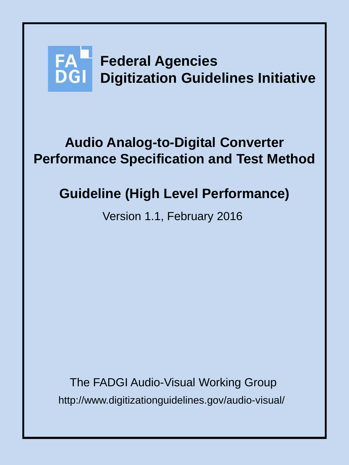# **FA** Federal Agencies **DGI Digitization Guidelines Initiative**

# **Audio Analog-to-Digital Converter Performance Specification and Test Method**

# **Guideline (High Level Performance)**

Version 1.1, February 2016

http://www.digitizationguidelines.gov/audio-visual/ The FADGI Audio-Visual Working Group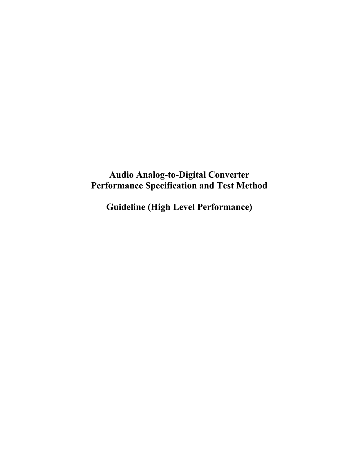# **Audio Analog-to-Digital Converter Performance Specification and Test Method**

**Guideline (High Level Performance)**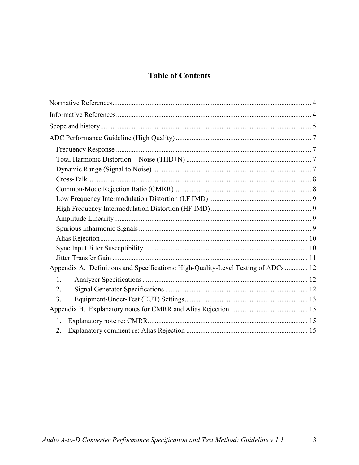# **Table of Contents**

| Appendix A. Definitions and Specifications: High-Quality-Level Testing of ADCs  12 |  |
|------------------------------------------------------------------------------------|--|
| $\mathbf{1}$                                                                       |  |
| 2.                                                                                 |  |
| 3.                                                                                 |  |
|                                                                                    |  |
| 1.                                                                                 |  |
| 2.                                                                                 |  |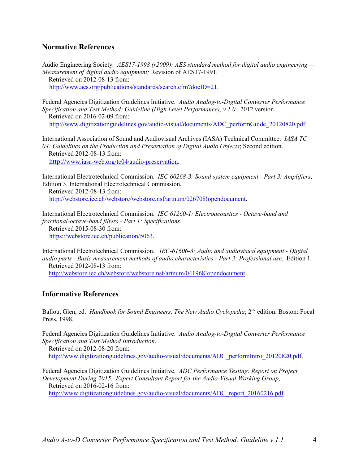#### <span id="page-3-0"></span>**Normative References**

Audio Engineering Society*. AES17-1998 (r2009): AES standard method for digital audio engineering — Measurement of digital audio equipment;* Revision of AES17-1991. Retrieved on 2012-08-13 from: [http://www.aes.org/publications/standards/search.cfm?docID=21.](http://www.aes.org/publications/standards/search.cfm?docID=21)

Federal Agencies Digitization Guidelines Initiative. *Audio Analog-to-Digital Converter Performance Specification and Test Method: Guideline (High Level Performance), v 1.0*. 2012 version. Retrieved on 2016-02-09 from: [http://www.digitizationguidelines.gov/audio-visual/documents/ADC\\_performGuide\\_20120820.pdf.](http://www.digitizationguidelines.gov/audio-visual/documents/ADC_performGuide_20120820.pdf)

International Association of Sound and Audiovisual Archives (IASA) Technical Committee. *IASA TC 04: Guidelines on the Production and Preservation of Digital Audio Objects*; Second edition. Retrieved 2012-08-13 from: [http://www.iasa-web.org/tc04/audio-preservation.](http://www.iasa-web.org/tc04/audio-preservation)

International Electrotechnical Commission. *IEC 60268-3: Sound system equipment - Part 3: Amplifiers;*  Edition 3. International Electrotechnical Commission.

 Retrieved 2012-08-13 from: [http://webstore.iec.ch/webstore/webstore.nsf/artnum/026708!opendocument.](http://webstore.iec.ch/webstore/webstore.nsf/artnum/026708!opendocument)

International Electrotechnical Commission. *IEC 61260-1: Electroacoustics - Octave-band and fractional-octave-band filters - Part 1: Specifications*. Retrieved 2015-08-30 from: [https://webstore.iec.ch/publication/5063.](https://webstore.iec.ch/publication/5063)

International Electrotechnical Commission. *IEC-61606-3: Audio and audiovisual equipment - Digital audio parts - Basic measurement methods of audio characteristics - Part 3: Professional use*. Edition 1. Retrieved 2012-08-13 from: [http://webstore.iec.ch/webstore/webstore.nsf/artnum/041968!opendocument.](http://webstore.iec.ch/webstore/webstore.nsf/artnum/041968!opendocument)

#### <span id="page-3-1"></span>**Informative References**

Ballou, Glen, ed. *Handbook for Sound Engineers, The New Audio Cyclopedia*; 2<sup>nd</sup> edition. Boston: Focal Press, 1998.

Federal Agencies Digitization Guidelines Initiative. *Audio Analog-to-Digital Converter Performance Specification and Test Method Introduction*.

 Retrieved on 2012-08-20 from: [http://www.digitizationguidelines.gov/audio-visual/documents/ADC\\_performIntro\\_20120820.pdf.](http://www.digitizationguidelines.gov/audio-visual/documents/ADC_performIntro_20120820.pdf)

Federal Agencies Digitization Guidelines Initiative. *ADC Performance Testing: Report on Project Development During 2015. Expert Consultant Report for the Audio-Visual Working Group*, Retrieved on 2016-02-16 from:

[http://www.digitizationguidelines.gov/audio-visual/documents/ADC\\_report\\_20160216.pdf.](http://www.digitizationguidelines.gov/audio-visual/documents/ADC_report_20160216.pdf)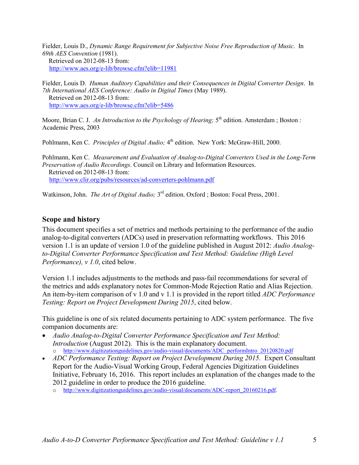Fielder, Louis D., *Dynamic Range Requirement for Subjective Noise Free Reproduction of Music*. In *69th AES Convention* (1981). Retrieved on 2012-08-13 from: <http://www.aes.org/e-lib/browse.cfm?elib=11981>

Fielder, Louis D. *Human Auditory Capabilities and their Consequences in Digital Converter Design*. In *7th International AES Conference: Audio in Digital Times* (May 1989). Retrieved on 2012-08-13 from: <http://www.aes.org/e-lib/browse.cfm?elib=5486>

Moore, Brian C. J. *An Introduction to the Psychology of Hearing*;  $5<sup>th</sup>$  edition. Amsterdam ; Boston : Academic Press, 2003

Pohlmann, Ken C. *Principles of Digital Audio;* 4<sup>th</sup> edition. New York: McGraw-Hill, 2000.

Pohlmann, Ken C. *Measurement and Evaluation of Analog-to-Digital Converters Used in the Long-Term Preservation of Audio Recordings*. Council on Library and Information Resources. Retrieved on 2012-08-13 from: <http://www.clir.org/pubs/resources/ad-converters-pohlmann.pdf>

Watkinson, John. *The Art of Digital Audio*; 3<sup>rd</sup> edition. Oxford ; Boston: Focal Press, 2001.

#### <span id="page-4-0"></span>**Scope and history**

This document specifies a set of metrics and methods pertaining to the performance of the audio analog-to-digital converters (ADCs) used in preservation reformatting workflows. This 2016 version 1.1 is an update of version 1.0 of the guideline published in August 2012: *Audio Analogto-Digital Converter Performance Specification and Test Method: Guideline (High Level Performance), v 1.0*, cited below.

Version 1.1 includes adjustments to the methods and pass-fail recommendations for several of the metrics and adds explanatory notes for Common-Mode Rejection Ratio and Alias Rejection. An item-by-item comparison of v 1.0 and v 1.1 is provided in the report titled *ADC Performance Testing: Report on Project Development During 2015*, cited below.

This guideline is one of six related documents pertaining to ADC system performance. The five companion documents are:

- *Audio Analog-to-Digital Converter Performance Specification and Test Method: Introduction* (August 2012). This is the main explanatory document. o [http://www.digitizationguidelines.gov/audio-visual/documents/ADC\\_performIntro\\_20120820.pdf](http://www.digitizationguidelines.gov/audio-visual/documents/ADC_performIntro_20120820.pdf)
- *ADC Performance Testing: Report on Project Development During 2015*. Expert Consultant Report for the Audio-Visual Working Group, Federal Agencies Digitization Guidelines Initiative, February 16, 2016. This report includes an explanation of the changes made to the 2012 guideline in order to produce the 2016 guideline.
	- o [http://www.digitizationguidelines.gov/audio-visual/documents/ADC-report\\_20160216.pdf.](http://www.digitizationguidelines.gov/audio-visual/documents/ADC-report_20160216.pdf)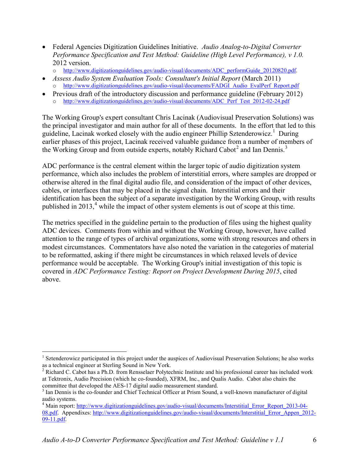- Federal Agencies Digitization Guidelines Initiative. *Audio Analog-to-Digital Converter Performance Specification and Test Method: Guideline (High Level Performance), v 1.0.* 2012 version.
	- o [http://www.digitizationguidelines.gov/audio-visual/documents/ADC\\_performGuide\\_20120820.pdf.](http://www.digitizationguidelines.gov/audio-visual/documents/ADC_performGuide_20120820.pdf)
- *Assess Audio System Evaluation Tools: Consultant's Initial Report* (March 2011) [http://www.digitizationguidelines.gov/audio-visual/documents/FADGI\\_Audio\\_EvalPerf\\_Report.pdf](http://www.digitizationguidelines.gov/audio-visual/documents/FADGI_Audio_EvalPerf_Report.pdf)
- Previous draft of the introductory discussion and performance guideline (February 2012) o [http://www.digitizationguidelines.gov/audio-visual/documents/ADC\\_Perf\\_Test\\_2012-02-24.pdf](http://www.digitizationguidelines.gov/audio-visual/documents/ADC_Perf_Test_2012-02-24.pdf)

The Working Group's expert consultant Chris Lacinak (Audiovisual Preservation Solutions) was the principal investigator and main author for all of these documents. In the effort that led to this guideline, Lacinak worked closely with the audio engineer Phillip Sztenderowicz.<sup>[1](#page-5-0)</sup> During earlier phases of this project, Lacinak received valuable guidance from a number of members of the Working Group and from outside experts, notably Richard Cabot<sup>[2](#page-5-1)</sup> and Ian Dennis.<sup>[3](#page-5-2)</sup>

ADC performance is the central element within the larger topic of audio digitization system performance, which also includes the problem of interstitial errors, where samples are dropped or otherwise altered in the final digital audio file, and consideration of the impact of other devices, cables, or interfaces that may be placed in the signal chain. Interstitial errors and their identification has been the subject of a separate investigation by the Working Group, with results published in 2013, [4](#page-5-3) while the impact of other system elements is out of scope at this time.

The metrics specified in the guideline pertain to the production of files using the highest quality ADC devices. Comments from within and without the Working Group, however, have called attention to the range of types of archival organizations, some with strong resources and others in modest circumstances. Commentators have also noted the variation in the categories of material to be reformatted, asking if there might be circumstances in which relaxed levels of device performance would be acceptable. The Working Group's initial investigation of this topic is covered in *ADC Performance Testing: Report on Project Development During 2015*, cited above.

 $\overline{a}$ 

<span id="page-5-0"></span><sup>&</sup>lt;sup>1</sup> Sztenderowicz participated in this project under the auspices of Audiovisual Preservation Solutions; he also works as a technical engineer at Sterling Sound in New York.

<span id="page-5-1"></span> $2$  Richard C. Cabot has a Ph.D. from Rensselaer Polytechnic Institute and his professional career has included work at Tektronix, Audio Precision (which he co-founded), XFRM, Inc., and Qualis Audio. Cabot also chairs the committee that developed the AES-17 digital audio measurement standard.<br><sup>3</sup> Ian Dennis is the co-founder and Chief Technical Officer at Prism Sound, a well-known manufacturer of digital

<span id="page-5-2"></span>audio systems.

<span id="page-5-3"></span><sup>&</sup>lt;sup>4</sup> Main report[: http://www.digitizationguidelines.gov/audio-visual/documents/Interstitial\\_Error\\_Report\\_2013-04-](http://www.digitizationguidelines.gov/audio-visual/documents/Interstitial_Error_Report_2013-04-08.pdf) [08.pdf.](http://www.digitizationguidelines.gov/audio-visual/documents/Interstitial_Error_Report_2013-04-08.pdf) Appendixes: [http://www.digitizationguidelines.gov/audio-visual/documents/Interstitial\\_Error\\_Appen\\_2012-](http://www.digitizationguidelines.gov/audio-visual/documents/Interstitial_Error_Appen_2012-09-11.pdf) [09-11.pdf.](http://www.digitizationguidelines.gov/audio-visual/documents/Interstitial_Error_Appen_2012-09-11.pdf)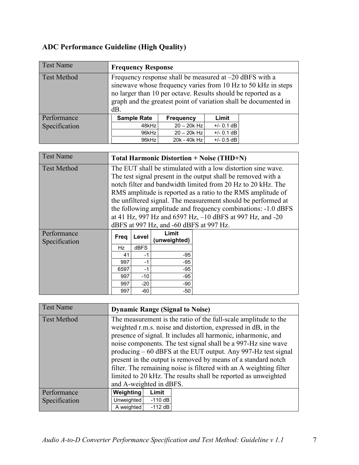# <span id="page-6-0"></span>**ADC Performance Guideline (High Quality)**

<span id="page-6-1"></span>

| <b>Test Name</b>   | <b>Frequency Response</b>                                                                                                                                                                                                                                                 |                           |              |  |  |  |  |
|--------------------|---------------------------------------------------------------------------------------------------------------------------------------------------------------------------------------------------------------------------------------------------------------------------|---------------------------|--------------|--|--|--|--|
| <b>Test Method</b> | Frequency response shall be measured at $-20$ dBFS with a<br>sinewave whose frequency varies from 10 Hz to 50 kHz in steps<br>no larger than 10 per octave. Results should be reported as a<br>graph and the greatest point of variation shall be documented in<br>$dB$ . |                           |              |  |  |  |  |
| Performance        | <b>Sample Rate</b>                                                                                                                                                                                                                                                        | Limit<br><b>Frequency</b> |              |  |  |  |  |
| Specification      | 48kHz                                                                                                                                                                                                                                                                     | $20 - 20k$ Hz             | $+/- 0.1$ dB |  |  |  |  |
|                    | 96kHz                                                                                                                                                                                                                                                                     | $20 - 20k$ Hz             | $+/- 0.1$ dB |  |  |  |  |
|                    | $+/- 0.5$ dB<br>96kHz<br>20k - 40k Hz                                                                                                                                                                                                                                     |                           |              |  |  |  |  |

<span id="page-6-2"></span>

| <b>Test Name</b>             | <b>Total Harmonic Distortion + Noise (THD+N)</b>                                                                                                                                                                                                                                                                                                                                                                                                                                                        |             |       |  |  |
|------------------------------|---------------------------------------------------------------------------------------------------------------------------------------------------------------------------------------------------------------------------------------------------------------------------------------------------------------------------------------------------------------------------------------------------------------------------------------------------------------------------------------------------------|-------------|-------|--|--|
| <b>Test Method</b>           | The EUT shall be stimulated with a low distortion sine wave.<br>The test signal present in the output shall be removed with a<br>notch filter and bandwidth limited from 20 Hz to 20 kHz. The<br>RMS amplitude is reported as a ratio to the RMS amplitude of<br>the unfiltered signal. The measurement should be performed at<br>the following amplitude and frequency combinations: -1.0 dBFS<br>at 41 Hz, 997 Hz and 6597 Hz, -10 dBFS at 997 Hz, and -20<br>dBFS at 997 Hz, and -60 dBFS at 997 Hz. |             |       |  |  |
| Performance<br>Specification | Limit<br>Level<br>Freq<br>(unweighted)                                                                                                                                                                                                                                                                                                                                                                                                                                                                  |             |       |  |  |
|                              | Hz                                                                                                                                                                                                                                                                                                                                                                                                                                                                                                      | <b>dBFS</b> |       |  |  |
|                              | 41                                                                                                                                                                                                                                                                                                                                                                                                                                                                                                      | $-1$        | $-95$ |  |  |
|                              | $-95$<br>997<br>$-1$                                                                                                                                                                                                                                                                                                                                                                                                                                                                                    |             |       |  |  |
|                              | 6597                                                                                                                                                                                                                                                                                                                                                                                                                                                                                                    |             |       |  |  |
|                              | $-10$<br>$-95$<br>997                                                                                                                                                                                                                                                                                                                                                                                                                                                                                   |             |       |  |  |
|                              | 997                                                                                                                                                                                                                                                                                                                                                                                                                                                                                                     | $-20$       | -90   |  |  |
|                              | 997                                                                                                                                                                                                                                                                                                                                                                                                                                                                                                     | $-60$       | -50   |  |  |

<span id="page-6-3"></span>

| <b>Test Name</b>   | <b>Dynamic Range (Signal to Noise)</b>                             |                                                               |                                                               |  |  |
|--------------------|--------------------------------------------------------------------|---------------------------------------------------------------|---------------------------------------------------------------|--|--|
| <b>Test Method</b> | The measurement is the ratio of the full-scale amplitude to the    |                                                               |                                                               |  |  |
|                    | weighted r.m.s. noise and distortion, expressed in dB, in the      |                                                               |                                                               |  |  |
|                    |                                                                    | presence of signal. It includes all harmonic, inharmonic, and |                                                               |  |  |
|                    |                                                                    |                                                               | noise components. The test signal shall be a 997-Hz sine wave |  |  |
|                    |                                                                    |                                                               | producing – 60 dBFS at the EUT output. Any 997-Hz test signal |  |  |
|                    | present in the output is removed by means of a standard notch      |                                                               |                                                               |  |  |
|                    | filter. The remaining noise is filtered with an A weighting filter |                                                               |                                                               |  |  |
|                    | limited to 20 kHz. The results shall be reported as unweighted     |                                                               |                                                               |  |  |
|                    | and A-weighted in dBFS.                                            |                                                               |                                                               |  |  |
| Performance        | Weighting                                                          | Limit                                                         |                                                               |  |  |
| Specification      | Unweighted                                                         | $-110$ dB                                                     |                                                               |  |  |
|                    | A weighted                                                         | $-112 dB$                                                     |                                                               |  |  |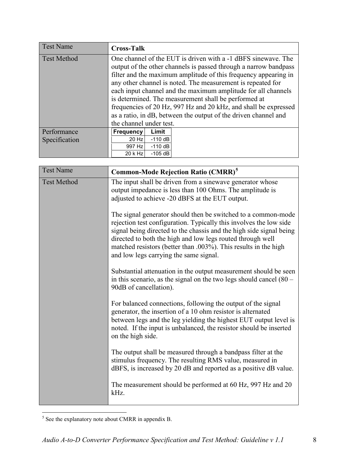<span id="page-7-0"></span>

| <b>Test Name</b>   | <b>Cross-Talk</b>                                               |           |                                                                  |  |
|--------------------|-----------------------------------------------------------------|-----------|------------------------------------------------------------------|--|
| <b>Test Method</b> |                                                                 |           | One channel of the EUT is driven with a -1 dBFS sinewave. The    |  |
|                    |                                                                 |           | output of the other channels is passed through a narrow bandpass |  |
|                    |                                                                 |           | filter and the maximum amplitude of this frequency appearing in  |  |
|                    |                                                                 |           | any other channel is noted. The measurement is repeated for      |  |
|                    |                                                                 |           | each input channel and the maximum amplitude for all channels    |  |
|                    |                                                                 |           | is determined. The measurement shall be performed at             |  |
|                    | frequencies of 20 Hz, 997 Hz and 20 kHz, and shall be expressed |           |                                                                  |  |
|                    | as a ratio, in dB, between the output of the driven channel and |           |                                                                  |  |
|                    | the channel under test.                                         |           |                                                                  |  |
| Performance        | Frequency                                                       | Limit     |                                                                  |  |
| Specification      | 20 Hz                                                           | $-110$ dB |                                                                  |  |
|                    | 997 Hz                                                          | $-110$ dB |                                                                  |  |
|                    | 20 k Hz                                                         | $-105$ dB |                                                                  |  |

<span id="page-7-1"></span>

| <b>Test Name</b>   | <b>Common-Mode Rejection Ratio (CMRR)<sup>5</sup></b>                                                                                                                                                                                                                                                                                                                                 |  |  |  |  |
|--------------------|---------------------------------------------------------------------------------------------------------------------------------------------------------------------------------------------------------------------------------------------------------------------------------------------------------------------------------------------------------------------------------------|--|--|--|--|
| <b>Test Method</b> | The input shall be driven from a sinewave generator whose<br>output impedance is less than 100 Ohms. The amplitude is<br>adjusted to achieve -20 dBFS at the EUT output.                                                                                                                                                                                                              |  |  |  |  |
|                    | The signal generator should then be switched to a common-mode<br>rejection test configuration. Typically this involves the low side<br>signal being directed to the chassis and the high side signal being<br>directed to both the high and low legs routed through well<br>matched resistors (better than .003%). This results in the high<br>and low legs carrying the same signal. |  |  |  |  |
|                    | Substantial attenuation in the output measurement should be seen<br>in this scenario, as the signal on the two legs should cancel $(80 -$<br>90dB of cancellation).                                                                                                                                                                                                                   |  |  |  |  |
|                    | For balanced connections, following the output of the signal<br>generator, the insertion of a 10 ohm resistor is alternated<br>between legs and the leg yielding the highest EUT output level is<br>noted. If the input is unbalanced, the resistor should be inserted<br>on the high side.                                                                                           |  |  |  |  |
|                    | The output shall be measured through a bandpass filter at the<br>stimulus frequency. The resulting RMS value, measured in<br>dBFS, is increased by 20 dB and reported as a positive dB value.                                                                                                                                                                                         |  |  |  |  |
|                    | The measurement should be performed at 60 Hz, 997 Hz and 20<br>kHz.                                                                                                                                                                                                                                                                                                                   |  |  |  |  |

<span id="page-7-2"></span> $<sup>5</sup>$  See the explanatory note about CMRR in appendix B.</sup>  $\overline{a}$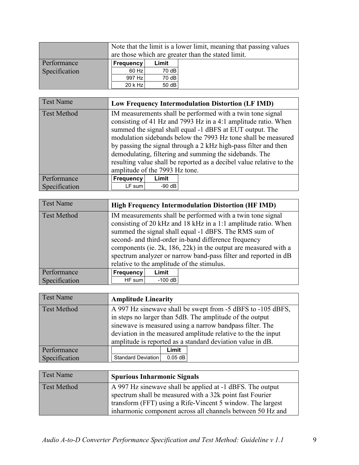|               | Note that the limit is a lower limit, meaning that passing values<br>are those which are greater than the stated limit. |       |  |  |  |
|---------------|-------------------------------------------------------------------------------------------------------------------------|-------|--|--|--|
| Performance   | <b>Frequency</b><br>Limit                                                                                               |       |  |  |  |
| Specification | 60 Hz                                                                                                                   | 70 dB |  |  |  |
|               | 997 Hz                                                                                                                  | 70 dB |  |  |  |
|               | $20$ k Hz                                                                                                               | 50 dB |  |  |  |

<span id="page-8-0"></span>

| <b>Test Name</b>   | Low Frequency Intermodulation Distortion (LF IMD) |          |                                                                                                                                                                                                                                                                                                                                                                                                                                                                |  |
|--------------------|---------------------------------------------------|----------|----------------------------------------------------------------------------------------------------------------------------------------------------------------------------------------------------------------------------------------------------------------------------------------------------------------------------------------------------------------------------------------------------------------------------------------------------------------|--|
| <b>Test Method</b> | amplitude of the 7993 Hz tone.                    |          | IM measurements shall be performed with a twin tone signal<br>consisting of 41 Hz and 7993 Hz in a 4:1 amplitude ratio. When<br>summed the signal shall equal -1 dBFS at EUT output. The<br>modulation sidebands below the 7993 Hz tone shall be measured<br>by passing the signal through a 2 kHz high-pass filter and then<br>demodulating, filtering and summing the sidebands. The<br>resulting value shall be reported as a decibel value relative to the |  |
| Performance        | Frequency                                         | Limit    |                                                                                                                                                                                                                                                                                                                                                                                                                                                                |  |
| Specification      | LF sum                                            | $-90$ dB |                                                                                                                                                                                                                                                                                                                                                                                                                                                                |  |

<span id="page-8-1"></span>

| <b>Test Name</b>   | <b>High Frequency Intermodulation Distortion (HF IMD)</b>                                                                                                                                                                                                                                                                                                                                                                               |           |  |  |
|--------------------|-----------------------------------------------------------------------------------------------------------------------------------------------------------------------------------------------------------------------------------------------------------------------------------------------------------------------------------------------------------------------------------------------------------------------------------------|-----------|--|--|
| <b>Test Method</b> | IM measurements shall be performed with a twin tone signal<br>consisting of 20 kHz and 18 kHz in a 1:1 amplitude ratio. When<br>summed the signal shall equal -1 dBFS. The RMS sum of<br>second- and third-order in-band difference frequency<br>components (ie. $2k$ , 186, $22k$ ) in the output are measured with a<br>spectrum analyzer or narrow band-pass filter and reported in dB<br>relative to the amplitude of the stimulus. |           |  |  |
| Performance        | Frequency                                                                                                                                                                                                                                                                                                                                                                                                                               | Limit     |  |  |
| Specification      | HF sum                                                                                                                                                                                                                                                                                                                                                                                                                                  | $-100$ dB |  |  |

<span id="page-8-2"></span>

| <b>Test Name</b>   | <b>Amplitude Linearity</b>                                    |                                                             |                                                          |  |  |
|--------------------|---------------------------------------------------------------|-------------------------------------------------------------|----------------------------------------------------------|--|--|
| <b>Test Method</b> |                                                               | A 997 Hz sinewave shall be swept from -5 dBFS to -105 dBFS, |                                                          |  |  |
|                    |                                                               |                                                             | in steps no larger than 5dB. The amplitude of the output |  |  |
|                    | sinewave is measured using a narrow bandpass filter. The      |                                                             |                                                          |  |  |
|                    | deviation in the measured amplitude relative to the the input |                                                             |                                                          |  |  |
|                    | amplitude is reported as a standard deviation value in dB.    |                                                             |                                                          |  |  |
| Performance        |                                                               | Limit                                                       |                                                          |  |  |
| Specification      | Standard Deviation                                            | $0.05$ dB                                                   |                                                          |  |  |

<span id="page-8-3"></span>

| <b>Test Name</b>   | <b>Spurious Inharmonic Signals</b>                                                                                                                                                                                                                |
|--------------------|---------------------------------------------------------------------------------------------------------------------------------------------------------------------------------------------------------------------------------------------------|
| <b>Test Method</b> | A 997 Hz sinewave shall be applied at -1 dBFS. The output<br>spectrum shall be measured with a 32k point fast Fourier<br>transform (FFT) using a Rife-Vincent 5 window. The largest<br>inharmonic component across all channels between 50 Hz and |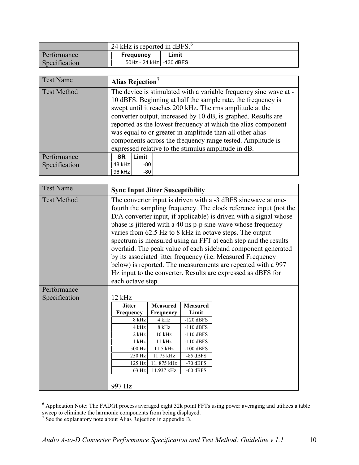|               | 24 kHz is reported in dBFS. <sup>6</sup> |       |  |  |  |
|---------------|------------------------------------------|-------|--|--|--|
| Performance   | <b>Frequency</b>                         | Limit |  |  |  |
| Specification | 50Hz - 24 kHz   -130 dBFS                |       |  |  |  |

<span id="page-9-0"></span>

| <b>Test Name</b>             | Alias Rejection <sup>7</sup>                                                                                                                                                                                                                                                                                                                                                                                                                                                                                      |  |  |  |
|------------------------------|-------------------------------------------------------------------------------------------------------------------------------------------------------------------------------------------------------------------------------------------------------------------------------------------------------------------------------------------------------------------------------------------------------------------------------------------------------------------------------------------------------------------|--|--|--|
| <b>Test Method</b>           | The device is stimulated with a variable frequency sine wave at -<br>10 dBFS. Beginning at half the sample rate, the frequency is<br>swept until it reaches 200 kHz. The rms amplitude at the<br>converter output, increased by 10 dB, is graphed. Results are<br>reported as the lowest frequency at which the alias component<br>was equal to or greater in amplitude than all other alias<br>components across the frequency range tested. Amplitude is<br>expressed relative to the stimulus amplitude in dB. |  |  |  |
| Performance<br>Specification | Limit<br><b>SR</b><br>$48$ kHz<br>-80<br>96 kHz<br>-80                                                                                                                                                                                                                                                                                                                                                                                                                                                            |  |  |  |

<span id="page-9-1"></span>

| <b>Test Name</b>   | <b>Sync Input Jitter Susceptibility</b>                                                                                                                                                                                                                                                                                                                                                                                                                                                                                                                                                                                                                                                            |                 |                 |  |  |
|--------------------|----------------------------------------------------------------------------------------------------------------------------------------------------------------------------------------------------------------------------------------------------------------------------------------------------------------------------------------------------------------------------------------------------------------------------------------------------------------------------------------------------------------------------------------------------------------------------------------------------------------------------------------------------------------------------------------------------|-----------------|-----------------|--|--|
| <b>Test Method</b> | The converter input is driven with a -3 dBFS sinewave at one-<br>fourth the sampling frequency. The clock reference input (not the<br>D/A converter input, if applicable) is driven with a signal whose<br>phase is jittered with a 40 ns p-p sine-wave whose frequency<br>varies from 62.5 Hz to 8 kHz in octave steps. The output<br>spectrum is measured using an FFT at each step and the results<br>overlaid. The peak value of each sideband component generated<br>by its associated jitter frequency ( <i>i.e.</i> Measured Frequency<br>below) is reported. The measurements are repeated with a 997<br>Hz input to the converter. Results are expressed as dBFS for<br>each octave step. |                 |                 |  |  |
| Performance        |                                                                                                                                                                                                                                                                                                                                                                                                                                                                                                                                                                                                                                                                                                    |                 |                 |  |  |
| Specification      | 12 kHz                                                                                                                                                                                                                                                                                                                                                                                                                                                                                                                                                                                                                                                                                             |                 |                 |  |  |
|                    | <b>Jitter</b>                                                                                                                                                                                                                                                                                                                                                                                                                                                                                                                                                                                                                                                                                      | <b>Measured</b> | <b>Measured</b> |  |  |
|                    | Frequency                                                                                                                                                                                                                                                                                                                                                                                                                                                                                                                                                                                                                                                                                          | Frequency       | Limit           |  |  |
|                    | 8 kHz                                                                                                                                                                                                                                                                                                                                                                                                                                                                                                                                                                                                                                                                                              | 4 kHz           | $-120$ dBFS     |  |  |
|                    | 4 kHz                                                                                                                                                                                                                                                                                                                                                                                                                                                                                                                                                                                                                                                                                              | 8 kHz           | $-110$ dBFS     |  |  |
|                    | $2$ kHz                                                                                                                                                                                                                                                                                                                                                                                                                                                                                                                                                                                                                                                                                            | $10$ kHz        | $-110$ dBFS     |  |  |
|                    | $1$ kHz                                                                                                                                                                                                                                                                                                                                                                                                                                                                                                                                                                                                                                                                                            | $11$ kHz        | $-110$ dBFS     |  |  |
|                    | 500 Hz                                                                                                                                                                                                                                                                                                                                                                                                                                                                                                                                                                                                                                                                                             | 11.5 kHz        | $-100$ dBFS     |  |  |
|                    | 250 Hz                                                                                                                                                                                                                                                                                                                                                                                                                                                                                                                                                                                                                                                                                             | 11.75 kHz       | $-85$ dBFS      |  |  |
|                    | 125 Hz                                                                                                                                                                                                                                                                                                                                                                                                                                                                                                                                                                                                                                                                                             | 11.875 kHz      | $-70$ dBFS      |  |  |
|                    | 63 Hz                                                                                                                                                                                                                                                                                                                                                                                                                                                                                                                                                                                                                                                                                              | 11.937 kHz      | $-60$ dBFS      |  |  |
|                    | 997 Hz                                                                                                                                                                                                                                                                                                                                                                                                                                                                                                                                                                                                                                                                                             |                 |                 |  |  |

<span id="page-9-2"></span> $6$  Application Note: The FADGI process averaged eight 32k point FFTs using power averaging and utilizes a table sweep to eliminate the harmonic components from being displayed.  $\overline{a}$ 

<span id="page-9-3"></span> $7$  See the explanatory note about Alias Rejection in appendix B.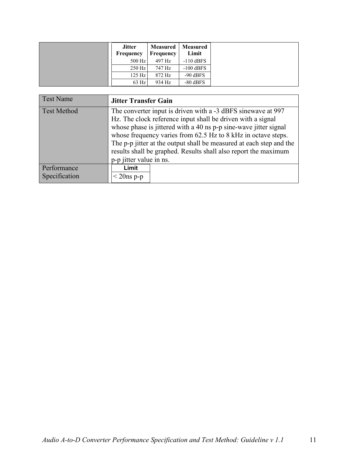| <b>Jitter</b><br>Frequency | <b>Measured</b><br>Frequency | <b>Measured</b><br>Limit |
|----------------------------|------------------------------|--------------------------|
| 500 Hz                     | 497 Hz                       | $-110$ dBFS              |
| $250$ Hz                   | 747 Hz                       | $-100$ dBFS              |
| 125 Hz                     | 872 Hz                       | $-90$ dBFS               |
| $63$ Hz                    | 934 Hz                       | $-80$ dBFS               |

<span id="page-10-0"></span>

| <b>Jitter Transfer Gain</b>                                                                                                                                                                                                                                      |  |  |  |  |                                                                     |  |  |  |  |  |
|------------------------------------------------------------------------------------------------------------------------------------------------------------------------------------------------------------------------------------------------------------------|--|--|--|--|---------------------------------------------------------------------|--|--|--|--|--|
| The converter input is driven with a -3 dBFS sinewave at 997<br>Hz. The clock reference input shall be driven with a signal<br>whose phase is jittered with a 40 ns p-p sine-wave jitter signal<br>whose frequency varies from 62.5 Hz to 8 kHz in octave steps. |  |  |  |  |                                                                     |  |  |  |  |  |
|                                                                                                                                                                                                                                                                  |  |  |  |  | The p-p jitter at the output shall be measured at each step and the |  |  |  |  |  |
|                                                                                                                                                                                                                                                                  |  |  |  |  | results shall be graphed. Results shall also report the maximum     |  |  |  |  |  |
|                                                                                                                                                                                                                                                                  |  |  |  |  | p-p jitter value in ns.                                             |  |  |  |  |  |
| Limit                                                                                                                                                                                                                                                            |  |  |  |  |                                                                     |  |  |  |  |  |
| $<$ 20ns p-p                                                                                                                                                                                                                                                     |  |  |  |  |                                                                     |  |  |  |  |  |
|                                                                                                                                                                                                                                                                  |  |  |  |  |                                                                     |  |  |  |  |  |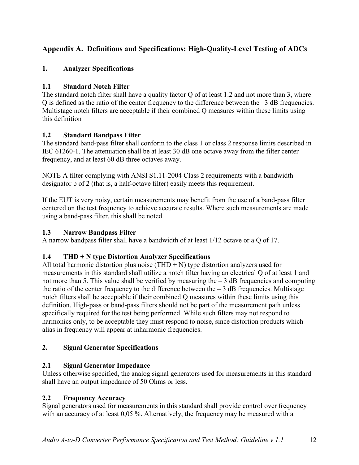# <span id="page-11-0"></span>**Appendix A. Definitions and Specifications: High-Quality-Level Testing of ADCs**

#### <span id="page-11-1"></span>**1. Analyzer Specifications**

#### **1.1 Standard Notch Filter**

The standard notch filter shall have a quality factor Q of at least 1.2 and not more than 3, where Q is defined as the ratio of the center frequency to the difference between the –3 dB frequencies. Multistage notch filters are acceptable if their combined Q measures within these limits using this definition

#### **1.2 Standard Bandpass Filter**

The standard band-pass filter shall conform to the class 1 or class 2 response limits described in IEC 61260-1. The attenuation shall be at least 30 dB one octave away from the filter center frequency, and at least 60 dB three octaves away.

NOTE A filter complying with ANSI S1.11-2004 Class 2 requirements with a bandwidth designator b of 2 (that is, a half-octave filter) easily meets this requirement.

If the EUT is very noisy, certain measurements may benefit from the use of a band-pass filter centered on the test frequency to achieve accurate results. Where such measurements are made using a band-pass filter, this shall be noted.

#### **1.3 Narrow Bandpass Filter**

A narrow bandpass filter shall have a bandwidth of at least 1/12 octave or a Q of 17.

#### **1.4 THD + N type Distortion Analyzer Specifications**

All total harmonic distortion plus noise (THD  $+$  N) type distortion analyzers used for measurements in this standard shall utilize a notch filter having an electrical Q of at least 1 and not more than 5. This value shall be verified by measuring the  $-3$  dB frequencies and computing the ratio of the center frequency to the difference between the  $-3$  dB frequencies. Multistage notch filters shall be acceptable if their combined Q measures within these limits using this definition. High-pass or band-pass filters should not be part of the measurement path unless specifically required for the test being performed. While such filters may not respond to harmonics only, to be acceptable they must respond to noise, since distortion products which alias in frequency will appear at inharmonic frequencies.

#### <span id="page-11-2"></span>**2. Signal Generator Specifications**

#### **2.1 Signal Generator Impedance**

Unless otherwise specified, the analog signal generators used for measurements in this standard shall have an output impedance of 50 Ohms or less.

#### **2.2 Frequency Accuracy**

Signal generators used for measurements in this standard shall provide control over frequency with an accuracy of at least 0,05 %. Alternatively, the frequency may be measured with a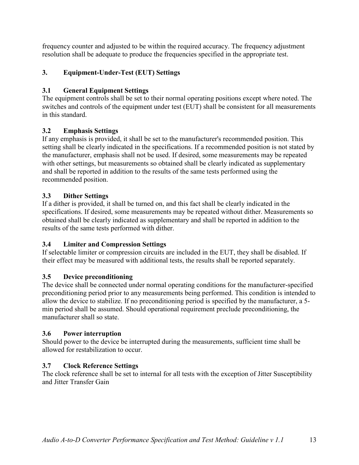frequency counter and adjusted to be within the required accuracy. The frequency adjustment resolution shall be adequate to produce the frequencies specified in the appropriate test.

## <span id="page-12-0"></span>**3. Equipment-Under-Test (EUT) Settings**

### **3.1 General Equipment Settings**

The equipment controls shall be set to their normal operating positions except where noted. The switches and controls of the equipment under test (EUT) shall be consistent for all measurements in this standard.

### **3.2 Emphasis Settings**

If any emphasis is provided, it shall be set to the manufacturer's recommended position. This setting shall be clearly indicated in the specifications. If a recommended position is not stated by the manufacturer, emphasis shall not be used. If desired, some measurements may be repeated with other settings, but measurements so obtained shall be clearly indicated as supplementary and shall be reported in addition to the results of the same tests performed using the recommended position.

### **3.3 Dither Settings**

If a dither is provided, it shall be turned on, and this fact shall be clearly indicated in the specifications. If desired, some measurements may be repeated without dither. Measurements so obtained shall be clearly indicated as supplementary and shall be reported in addition to the results of the same tests performed with dither.

#### **3.4 Limiter and Compression Settings**

If selectable limiter or compression circuits are included in the EUT, they shall be disabled. If their effect may be measured with additional tests, the results shall be reported separately.

## **3.5 Device preconditioning**

The device shall be connected under normal operating conditions for the manufacturer-specified preconditioning period prior to any measurements being performed. This condition is intended to allow the device to stabilize. If no preconditioning period is specified by the manufacturer, a 5 min period shall be assumed. Should operational requirement preclude preconditioning, the manufacturer shall so state.

#### **3.6 Power interruption**

Should power to the device be interrupted during the measurements, sufficient time shall be allowed for restabilization to occur.

## **3.7 Clock Reference Settings**

The clock reference shall be set to internal for all tests with the exception of Jitter Susceptibility and Jitter Transfer Gain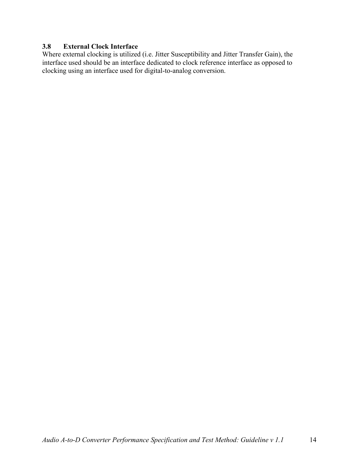#### **3.8 External Clock Interface**

Where external clocking is utilized (i.e. Jitter Susceptibility and Jitter Transfer Gain), the interface used should be an interface dedicated to clock reference interface as opposed to clocking using an interface used for digital-to-analog conversion.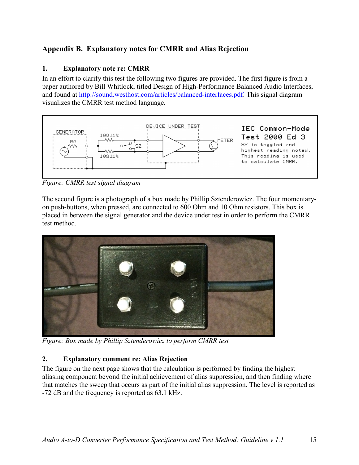# <span id="page-14-0"></span>**Appendix B. Explanatory notes for CMRR and Alias Rejection**

#### <span id="page-14-1"></span>**1. Explanatory note re: CMRR**

In an effort to clarify this test the following two figures are provided. The first figure is from a paper authored by Bill Whitlock, titled Design of High-Performance Balanced Audio Interfaces, and found at [http://sound.westhost.com/articles/balanced-interfaces.pdf.](http://sound.westhost.com/articles/balanced-interfaces.pdf) This signal diagram visualizes the CMRR test method language.



*Figure: CMRR test signal diagram* 

The second figure is a photograph of a box made by Phillip Sztenderowicz. The four momentaryon push-buttons, when pressed, are connected to 600 Ohm and 10 Ohm resistors. This box is placed in between the signal generator and the device under test in order to perform the CMRR test method.



*Figure: Box made by Phillip Sztenderowicz to perform CMRR test* 

#### <span id="page-14-2"></span>**2. Explanatory comment re: Alias Rejection**

The figure on the next page shows that the calculation is performed by finding the highest aliasing component beyond the initial achievement of alias suppression, and then finding where that matches the sweep that occurs as part of the initial alias suppression. The level is reported as -72 dB and the frequency is reported as 63.1 kHz.